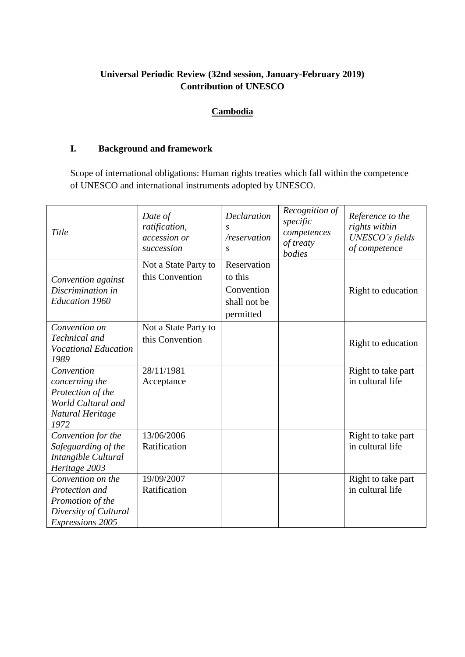# **Universal Periodic Review (32nd session, January-February 2019) Contribution of UNESCO**

# **Cambodia**

# **I. Background and framework**

Scope of international obligations: Human rights treaties which fall within the competence of UNESCO and international instruments adopted by UNESCO.

| Title                                                                                                       | Date of<br>ratification,<br>accession or<br>succession | Declaration<br>$\mathcal{S}$<br>/reservation<br>$\mathcal{S}$     | Recognition of<br>specific<br>competences<br>of treaty<br>bodies | Reference to the<br>rights within<br>UNESCO's fields<br>of competence |
|-------------------------------------------------------------------------------------------------------------|--------------------------------------------------------|-------------------------------------------------------------------|------------------------------------------------------------------|-----------------------------------------------------------------------|
| Convention against<br>Discrimination in<br><b>Education 1960</b>                                            | Not a State Party to<br>this Convention                | Reservation<br>to this<br>Convention<br>shall not be<br>permitted |                                                                  | Right to education                                                    |
| Convention on<br>Technical and<br><b>Vocational Education</b><br>1989                                       | Not a State Party to<br>this Convention                |                                                                   |                                                                  | Right to education                                                    |
| Convention<br>concerning the<br>Protection of the<br>World Cultural and<br>Natural Heritage<br>1972         | 28/11/1981<br>Acceptance                               |                                                                   |                                                                  | Right to take part<br>in cultural life                                |
| Convention for the<br>Safeguarding of the<br>Intangible Cultural<br>Heritage 2003                           | 13/06/2006<br>Ratification                             |                                                                   |                                                                  | Right to take part<br>in cultural life                                |
| Convention on the<br>Protection and<br>Promotion of the<br>Diversity of Cultural<br><b>Expressions 2005</b> | 19/09/2007<br>Ratification                             |                                                                   |                                                                  | Right to take part<br>in cultural life                                |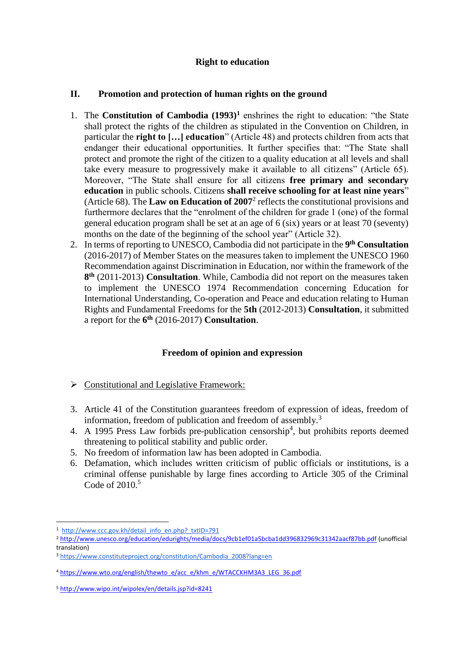## **Right to education**

#### **II. Promotion and protection of human rights on the ground**

- 1. The **Constitution of Cambodia (1993)<sup>1</sup>** enshrines the right to education: "the State shall protect the rights of the children as stipulated in the Convention on Children, in particular the **right to […] education**" (Article 48) and protects children from acts that endanger their educational opportunities. It further specifies that: "The State shall protect and promote the right of the citizen to a quality education at all levels and shall take every measure to progressively make it available to all citizens" (Article 65). Moreover, "The State shall ensure for all citizens **free primary and secondary education** in public schools. Citizens **shall receive schooling for at least nine years**" (Article 68). The **Law on Education of 2007**<sup>2</sup> reflects the constitutional provisions and furthermore declares that the "enrolment of the children for grade 1 (one) of the formal general education program shall be set at an age of 6 (six) years or at least 70 (seventy) months on the date of the beginning of the school year" (Article 32).
- 2. In terms of reporting to UNESCO, Cambodia did not participate in the **9 th Consultation** (2016-2017) of Member States on the measures taken to implement the UNESCO 1960 Recommendation against Discrimination in Education, nor within the framework of the **8 th** (2011-2013) **Consultation**. While, Cambodia did not report on the measures taken to implement the UNESCO 1974 Recommendation concerning Education for International Understanding, Co-operation and Peace and education relating to Human Rights and Fundamental Freedoms for the **5th** (2012-2013) **Consultation**, it submitted a report for the **6 th** (2016-2017) **Consultation**.

## **Freedom of opinion and expression**

- $\triangleright$  Constitutional and Legislative Framework:
- 3. Article 41 of the Constitution guarantees freedom of expression of ideas, freedom of information, freedom of publication and freedom of assembly.<sup>3</sup>
- 4. A 1995 Press Law forbids pre-publication censorship<sup>4</sup>, but prohibits reports deemed threatening to political stability and public order.
- 5. No freedom of information law has been adopted in Cambodia.
- 6. Defamation, which includes written criticism of public officials or institutions, is a criminal offense punishable by large fines according to Article 305 of the Criminal Code of 2010.<sup>5</sup>

<sup>&</sup>lt;sup>1</sup> http://www.ccc.gov.kh/detail\_info\_en.php?\_txtID=791

<sup>2</sup> <http://www.unesco.org/education/edurights/media/docs/9cb1ef01a5bcba1dd396832969c31342aacf87bb.pdf> (unofficial translation)

<sup>3</sup> [https://www.constituteproject.org/constitution/Cambodia\\_2008?lang=en](https://www.constituteproject.org/constitution/Cambodia_2008?lang=en)

<sup>4</sup> [https://www.wto.org/english/thewto\\_e/acc\\_e/khm\\_e/WTACCKHM3A3\\_LEG\\_36.pdf](https://www.wto.org/english/thewto_e/acc_e/khm_e/WTACCKHM3A3_LEG_36.pdf)

<sup>5</sup> <http://www.wipo.int/wipolex/en/details.jsp?id=8241>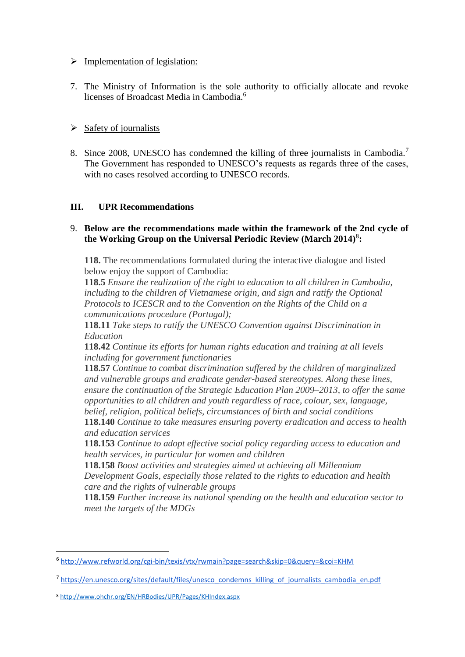### $\triangleright$  Implementation of legislation:

7. The Ministry of Information is the sole authority to officially allocate and revoke licenses of Broadcast Media in Cambodia.<sup>6</sup>

## $\triangleright$  Safety of journalists

8. Since 2008, UNESCO has condemned the killing of three journalists in Cambodia.<sup>7</sup> The Government has responded to UNESCO's requests as regards three of the cases, with no cases resolved according to UNESCO records.

# **III. UPR Recommendations**

### 9. **Below are the recommendations made within the framework of the 2nd cycle of the Working Group on the Universal Periodic Review (March 2014)**<sup>8</sup> **:**

**118.** The recommendations formulated during the interactive dialogue and listed below enjoy the support of Cambodia:

**118.5** *Ensure the realization of the right to education to all children in Cambodia, including to the children of Vietnamese origin, and sign and ratify the Optional Protocols to ICESCR and to the Convention on the Rights of the Child on a communications procedure (Portugal);*

**118.11** *Take steps to ratify the UNESCO Convention against Discrimination in Education*

**118.42** *Continue its efforts for human rights education and training at all levels including for government functionaries*

**118.57** *Continue to combat discrimination suffered by the children of marginalized and vulnerable groups and eradicate gender-based stereotypes. Along these lines, ensure the continuation of the Strategic Education Plan 2009–2013, to offer the same opportunities to all children and youth regardless of race, colour, sex, language, belief, religion, political beliefs, circumstances of birth and social conditions* 

**118.140** *Continue to take measures ensuring poverty eradication and access to health and education services*

**118.153** *Continue to adopt effective social policy regarding access to education and health services, in particular for women and children*

**118.158** *Boost activities and strategies aimed at achieving all Millennium Development Goals, especially those related to the rights to education and health care and the rights of vulnerable groups* 

**118.159** *Further increase its national spending on the health and education sector to meet the targets of the MDGs* 

1

<sup>6</sup> <http://www.refworld.org/cgi-bin/texis/vtx/rwmain?page=search&skip=0&query=&coi=KHM>

<sup>&</sup>lt;sup>7</sup> [https://en.unesco.org/sites/default/files/unesco\\_condemns\\_killing\\_of\\_journalists\\_cambodia\\_en.pdf](https://en.unesco.org/sites/default/files/unesco_condemns_killing_of_journalists_cambodia_en.pdf)

<sup>8</sup> <http://www.ohchr.org/EN/HRBodies/UPR/Pages/KHIndex.aspx>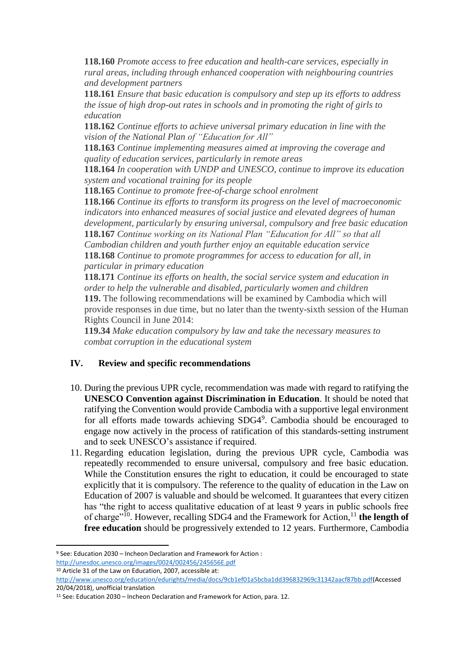**118.160** *Promote access to free education and health-care services, especially in rural areas, including through enhanced cooperation with neighbouring countries and development partners* 

**118.161** *Ensure that basic education is compulsory and step up its efforts to address the issue of high drop-out rates in schools and in promoting the right of girls to education*

**118.162** *Continue efforts to achieve universal primary education in line with the vision of the National Plan of "Education for All"*

**118.163** *Continue implementing measures aimed at improving the coverage and quality of education services, particularly in remote areas*

**118.164** *In cooperation with UNDP and UNESCO, continue to improve its education system and vocational training for its people* 

**118.165** *Continue to promote free-of-charge school enrolment* 

**118.166** *Continue its efforts to transform its progress on the level of macroeconomic indicators into enhanced measures of social justice and elevated degrees of human development, particularly by ensuring universal, compulsory and free basic education*  **118.167** *Continue working on its National Plan "Education for All" so that all Cambodian children and youth further enjoy an equitable education service*  **118.168** *Continue to promote programmes for access to education for all, in particular in primary education* 

**118.171** *Continue its efforts on health, the social service system and education in order to help the vulnerable and disabled, particularly women and children*  **119.** The following recommendations will be examined by Cambodia which will provide responses in due time, but no later than the twenty-sixth session of the Human Rights Council in June 2014:

**119.34** *Make education compulsory by law and take the necessary measures to combat corruption in the educational system* 

## **IV. Review and specific recommendations**

- 10. During the previous UPR cycle, recommendation was made with regard to ratifying the **UNESCO Convention against Discrimination in Education**. It should be noted that ratifying the Convention would provide Cambodia with a supportive legal environment for all efforts made towards achieving SDG4<sup>9</sup>. Cambodia should be encouraged to engage now actively in the process of ratification of this standards-setting instrument and to seek UNESCO's assistance if required.
- 11. Regarding education legislation, during the previous UPR cycle, Cambodia was repeatedly recommended to ensure universal, compulsory and free basic education. While the Constitution ensures the right to education, it could be encouraged to state explicitly that it is compulsory. The reference to the quality of education in the Law on Education of 2007 is valuable and should be welcomed. It guarantees that every citizen has "the right to access qualitative education of at least 9 years in public schools free of charge"<sup>10</sup>. However, recalling SDG4 and the Framework for Action,<sup>11</sup> the length of **free education** should be progressively extended to 12 years. Furthermore, Cambodia

<sup>10</sup> Article 31 of the Law on Education, 2007, accessible at:

<sup>9</sup> See: Education 2030 – Incheon Declaration and Framework for Action : <http://unesdoc.unesco.org/images/0024/002456/245656E.pdf>

[http://www.unesco.org/education/edurights/media/docs/9cb1ef01a5bcba1dd396832969c31342aacf87bb.pdf\(](http://www.unesco.org/education/edurights/media/docs/9cb1ef01a5bcba1dd396832969c31342aacf87bb.pdf)Accessed 20/04/2018), unofficial translation

<sup>11</sup> See: Education 2030 – Incheon Declaration and Framework for Action, para. 12.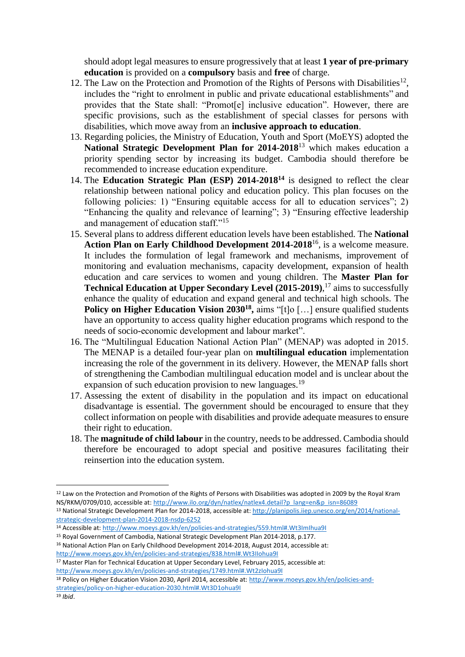should adopt legal measures to ensure progressively that at least **1 year of pre-primary education** is provided on a **compulsory** basis and **free** of charge.

- 12. The Law on the Protection and Promotion of the Rights of Persons with Disabilities<sup>12</sup>, includes the "right to enrolment in public and private educational establishments" and provides that the State shall: "Promot[e] inclusive education". However, there are specific provisions, such as the establishment of special classes for persons with disabilities, which move away from an **inclusive approach to education**.
- 13. Regarding policies, the Ministry of Education, Youth and Sport (MoEYS) adopted the **National Strategic Development Plan for 2014-2018**<sup>13</sup> which makes education a priority spending sector by increasing its budget. Cambodia should therefore be recommended to increase education expenditure.
- 14. The **Education Strategic Plan (ESP) 2014-2018<sup>14</sup>** is designed to reflect the clear relationship between national policy and education policy. This plan focuses on the following policies: 1) "Ensuring equitable access for all to education services"; 2) "Enhancing the quality and relevance of learning"; 3) "Ensuring effective leadership and management of education staff."<sup>15</sup>
- 15. Several plans to address different education levels have been established. The **National Action Plan on Early Childhood Development 2014-2018**<sup>16</sup>, is a welcome measure. It includes the formulation of legal framework and mechanisms, improvement of monitoring and evaluation mechanisms, capacity development, expansion of health education and care services to women and young children. The **Master Plan for Technical Education at Upper Secondary Level (2015-2019)**, <sup>17</sup> aims to successfully enhance the quality of education and expand general and technical high schools. The **Policy on Higher Education Vision 2030<sup>18</sup>**, aims "[t]o [...] ensure qualified students have an opportunity to access quality higher education programs which respond to the needs of socio-economic development and labour market".
- 16. The "Multilingual Education National Action Plan" (MENAP) was adopted in 2015. The MENAP is a detailed four-year plan on **multilingual education** implementation increasing the role of the government in its delivery. However, the MENAP falls short of strengthening the Cambodian multilingual education model and is unclear about the expansion of such education provision to new languages.<sup>19</sup>
- 17. Assessing the extent of disability in the population and its impact on educational disadvantage is essential. The government should be encouraged to ensure that they collect information on people with disabilities and provide adequate measures to ensure their right to education.
- 18. The **magnitude of child labour** in the country, needs to be addressed. Cambodia should therefore be encouraged to adopt special and positive measures facilitating their reinsertion into the education system.

<sup>18</sup> Policy on Higher Education Vision 2030, April 2014, accessible at: [http://www.moeys.gov.kh/en/policies-and](http://www.moeys.gov.kh/en/policies-and-strategies/policy-on-higher-education-2030.html#.Wt3D1ohua9I)[strategies/policy-on-higher-education-2030.html#.Wt3D1ohua9I](http://www.moeys.gov.kh/en/policies-and-strategies/policy-on-higher-education-2030.html#.Wt3D1ohua9I)

<sup>&</sup>lt;sup>12</sup> Law on the Protection and Promotion of the Rights of Persons with Disabilities was adopted in 2009 by the Royal Kram NS/RKM/0709/010, accessible at[: http://www.ilo.org/dyn/natlex/natlex4.detail?p\\_lang=en&p\\_isn=86089](http://www.ilo.org/dyn/natlex/natlex4.detail?p_lang=en&p_isn=86089)

<sup>13</sup> National Strategic Development Plan for 2014-2018, accessible at[: http://planipolis.iiep.unesco.org/en/2014/national](http://planipolis.iiep.unesco.org/en/2014/national-strategic-development-plan-2014-2018-nsdp-6252)[strategic-development-plan-2014-2018-nsdp-6252](http://planipolis.iiep.unesco.org/en/2014/national-strategic-development-plan-2014-2018-nsdp-6252)

<sup>14</sup> Accessible at[: http://www.moeys.gov.kh/en/policies-and-strategies/559.html#.Wt3ImIhua9I](http://www.moeys.gov.kh/en/policies-and-strategies/559.html#.Wt3ImIhua9I)

<sup>15</sup> Royal Government of Cambodia, National Strategic Development Plan 2014-2018, p.177.

<sup>&</sup>lt;sup>16</sup> National Action Plan on Early Childhood Development 2014-2018, August 2014, accessible at: <http://www.moeys.gov.kh/en/policies-and-strategies/838.html#.Wt3IIohua9I>

<sup>&</sup>lt;sup>17</sup> Master Plan for Technical Education at Upper Secondary Level, February 2015, accessible at: <http://www.moeys.gov.kh/en/policies-and-strategies/1749.html#.Wt2zIohua9I>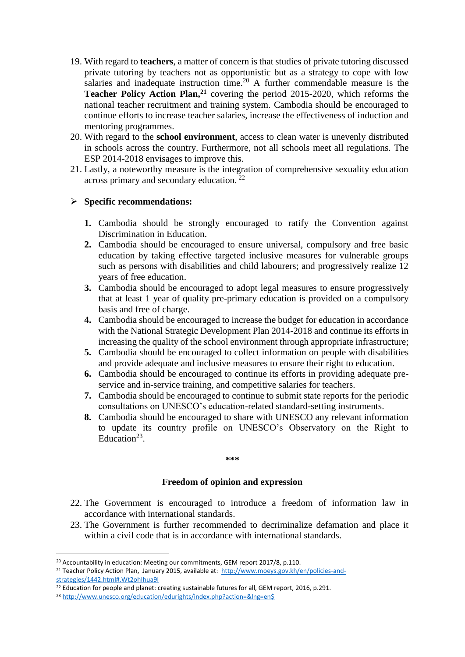- 19. With regard to **teachers**, a matter of concern is that studies of private tutoring discussed private tutoring by teachers not as opportunistic but as a strategy to cope with low salaries and inadequate instruction time.<sup>20</sup> A further commendable measure is the **Teacher Policy Action Plan,<sup>21</sup>** covering the period 2015-2020, which reforms the national teacher recruitment and training system. Cambodia should be encouraged to continue efforts to increase teacher salaries, increase the effectiveness of induction and mentoring programmes.
- 20. With regard to the **school environment**, access to clean water is unevenly distributed in schools across the country. Furthermore, not all schools meet all regulations. The ESP 2014-2018 envisages to improve this.
- 21. Lastly, a noteworthy measure is the integration of comprehensive sexuality education across primary and secondary education. <sup>22</sup>

#### **Specific recommendations:**

- **1.** Cambodia should be strongly encouraged to ratify the Convention against Discrimination in Education.
- **2.** Cambodia should be encouraged to ensure universal, compulsory and free basic education by taking effective targeted inclusive measures for vulnerable groups such as persons with disabilities and child labourers; and progressively realize 12 years of free education.
- **3.** Cambodia should be encouraged to adopt legal measures to ensure progressively that at least 1 year of quality pre-primary education is provided on a compulsory basis and free of charge.
- **4.** Cambodia should be encouraged to increase the budget for education in accordance with the National Strategic Development Plan 2014-2018 and continue its efforts in increasing the quality of the school environment through appropriate infrastructure;
- **5.** Cambodia should be encouraged to collect information on people with disabilities and provide adequate and inclusive measures to ensure their right to education.
- **6.** Cambodia should be encouraged to continue its efforts in providing adequate preservice and in-service training, and competitive salaries for teachers.
- **7.** Cambodia should be encouraged to continue to submit state reports for the periodic consultations on UNESCO's education-related standard-setting instruments.
- **8.** Cambodia should be encouraged to share with UNESCO any relevant information to update its country profile on UNESCO's Observatory on the Right to Education<sup>23</sup>.

#### **\*\*\***

#### **Freedom of opinion and expression**

- 22. The Government is encouraged to introduce a freedom of information law in accordance with international standards.
- 23. The Government is further recommended to decriminalize defamation and place it within a civil code that is in accordance with international standards.

<sup>&</sup>lt;sup>20</sup> Accountability in education: Meeting our commitments, GEM report 2017/8, p.110.

<sup>&</sup>lt;sup>21</sup> Teacher Policy Action Plan, January 2015, available at: [http://www.moeys.gov.kh/en/policies-and](http://www.moeys.gov.kh/en/policies-and-strategies/1442.html#.Wt2ohIhua9I)[strategies/1442.html#.Wt2ohIhua9I](http://www.moeys.gov.kh/en/policies-and-strategies/1442.html#.Wt2ohIhua9I)

<sup>&</sup>lt;sup>22</sup> Education for people and planet: creating sustainable futures for all, GEM report, 2016, p.291.

<sup>&</sup>lt;sup>23</sup> [http://www.unesco.org/education/edurights/index.php?action=&lng=en\\$](http://www.unesco.org/education/edurights/index.php?action=&lng=en$)